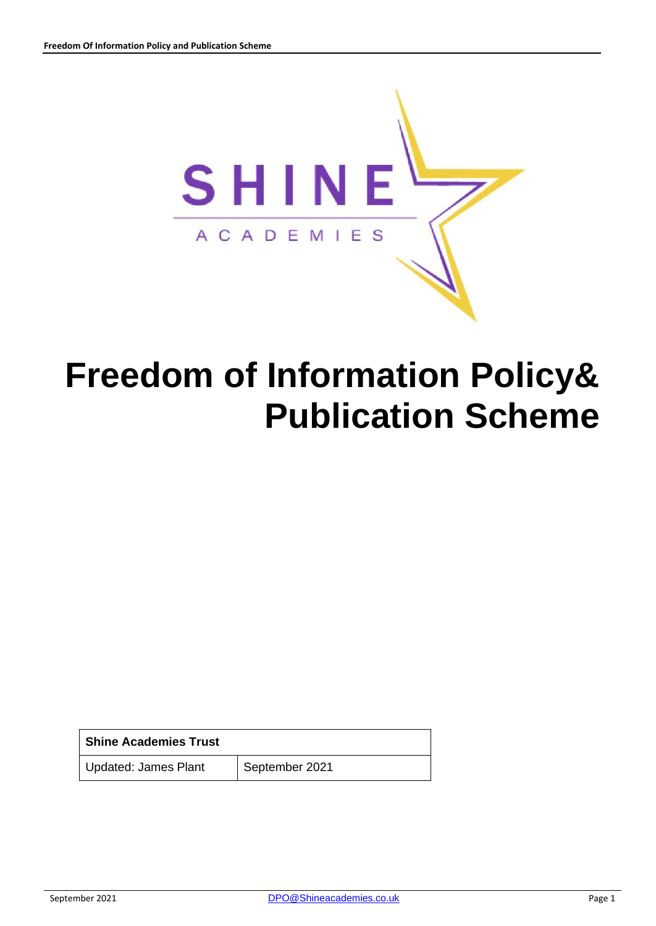

# **Freedom of Information Policy& Publication Scheme**

| <b>Shine Academies Trust</b> |                |
|------------------------------|----------------|
| Updated: James Plant         | September 2021 |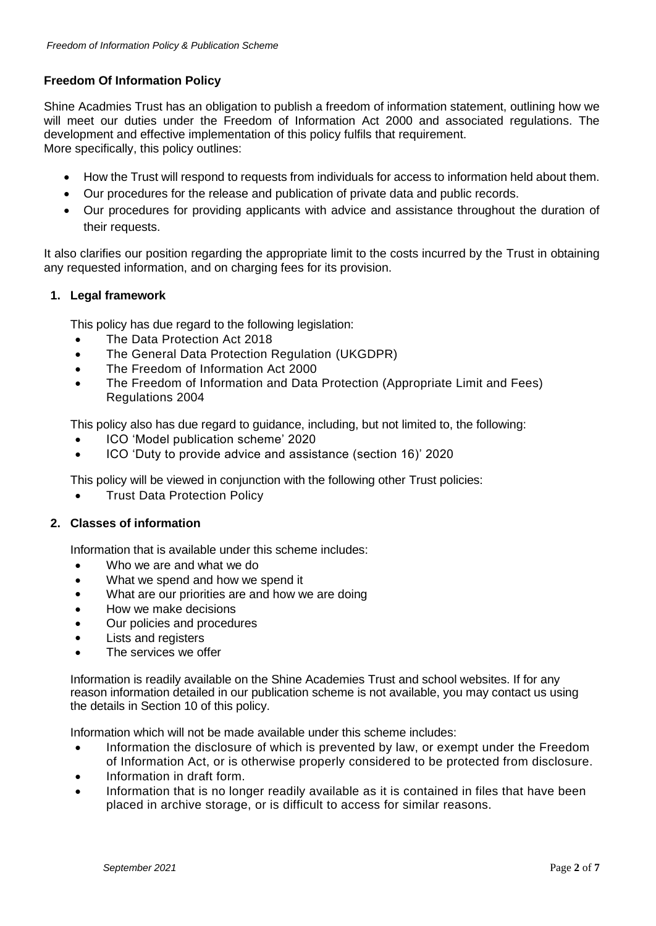# **Freedom Of Information Policy**

Shine Acadmies Trust has an obligation to publish a freedom of information statement, outlining how we will meet our duties under the Freedom of Information Act 2000 and associated regulations. The development and effective implementation of this policy fulfils that requirement. More specifically, this policy outlines:

- How the Trust will respond to requests from individuals for access to information held about them.
- Our procedures for the release and publication of private data and public records.
- Our procedures for providing applicants with advice and assistance throughout the duration of their requests.

It also clarifies our position regarding the appropriate limit to the costs incurred by the Trust in obtaining any requested information, and on charging fees for its provision.

## **1. Legal framework**

This policy has due regard to the following legislation:

- The Data Protection Act 2018
- The General Data Protection Regulation (UKGDPR)
- The Freedom of Information Act 2000
- The Freedom of Information and Data Protection (Appropriate Limit and Fees) Regulations 2004

This policy also has due regard to guidance, including, but not limited to, the following:

- ICO 'Model publication scheme' 2020
- ICO 'Duty to provide advice and assistance (section 16)' 2020

This policy will be viewed in conjunction with the following other Trust policies:

**Trust Data Protection Policy** 

## **2. Classes of information**

Information that is available under this scheme includes:

- Who we are and what we do
- What we spend and how we spend it
- What are our priorities are and how we are doing
- How we make decisions
- Our policies and procedures
- Lists and registers
- The services we offer

Information is readily available on the Shine Academies Trust and school websites. If for any reason information detailed in our publication scheme is not available, you may contact us using the details in Section 10 of this policy.

Information which will not be made available under this scheme includes:

- Information the disclosure of which is prevented by law, or exempt under the Freedom of Information Act, or is otherwise properly considered to be protected from disclosure.
- Information in draft form.
- Information that is no longer readily available as it is contained in files that have been placed in archive storage, or is difficult to access for similar reasons.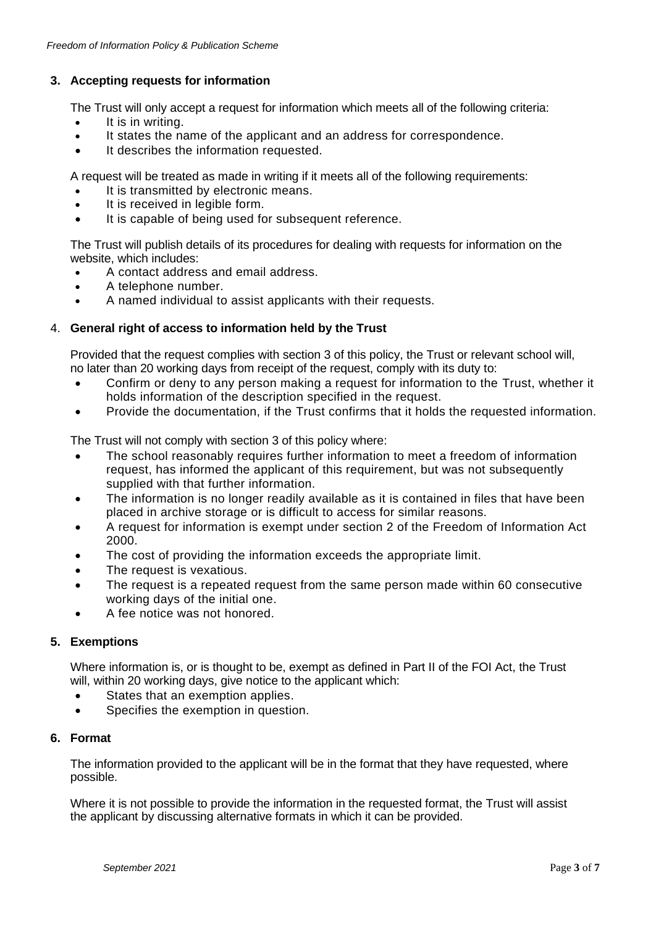# **3. Accepting requests for information**

The Trust will only accept a request for information which meets all of the following criteria:

- It is in writing.
- It states the name of the applicant and an address for correspondence.
- It describes the information requested.

A request will be treated as made in writing if it meets all of the following requirements:

- It is transmitted by electronic means.
- It is received in legible form.
- It is capable of being used for subsequent reference.

The Trust will publish details of its procedures for dealing with requests for information on the website, which includes:

- A contact address and email address.
- A telephone number.
- A named individual to assist applicants with their requests.

## 4. **General right of access to information held by the Trust**

Provided that the request complies with section 3 of this policy, the Trust or relevant school will, no later than 20 working days from receipt of the request, comply with its duty to:

- Confirm or deny to any person making a request for information to the Trust, whether it holds information of the description specified in the request.
- Provide the documentation, if the Trust confirms that it holds the requested information.

The Trust will not comply with section 3 of this policy where:

- The school reasonably requires further information to meet a freedom of information request, has informed the applicant of this requirement, but was not subsequently supplied with that further information.
- The information is no longer readily available as it is contained in files that have been placed in archive storage or is difficult to access for similar reasons.
- A request for information is exempt under section 2 of the Freedom of Information Act 2000.
- The cost of providing the information exceeds the appropriate limit.
- The request is vexatious.
- The request is a repeated request from the same person made within 60 consecutive working days of the initial one.
- A fee notice was not honored.

#### **5. Exemptions**

Where information is, or is thought to be, exempt as defined in Part II of the FOI Act, the Trust will, within 20 working days, give notice to the applicant which:

- States that an exemption applies.
- Specifies the exemption in question.

#### **6. Format**

The information provided to the applicant will be in the format that they have requested, where possible.

Where it is not possible to provide the information in the requested format, the Trust will assist the applicant by discussing alternative formats in which it can be provided.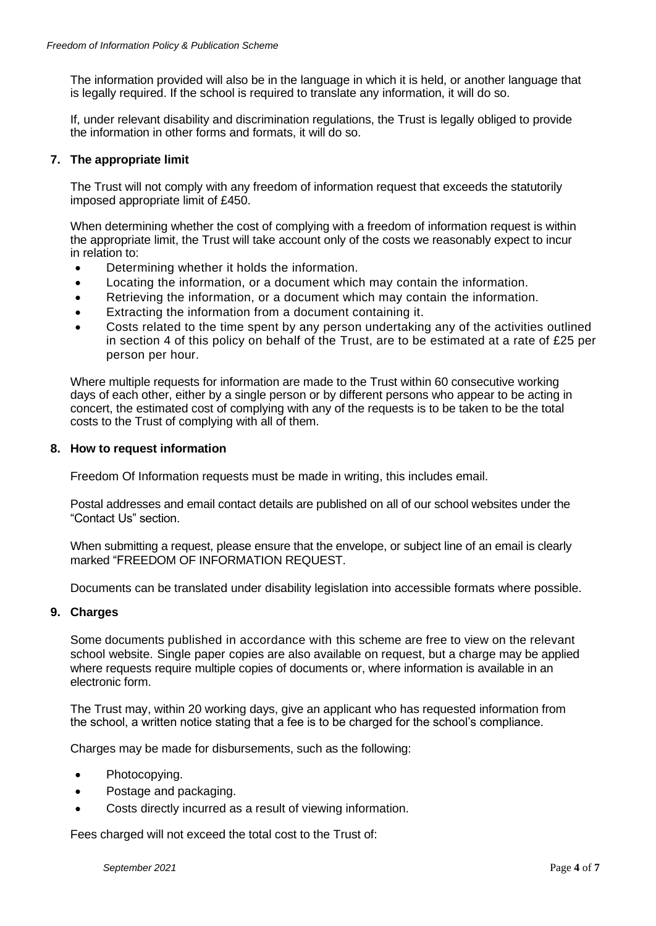The information provided will also be in the language in which it is held, or another language that is legally required. If the school is required to translate any information, it will do so.

If, under relevant disability and discrimination regulations, the Trust is legally obliged to provide the information in other forms and formats, it will do so.

### **7. The appropriate limit**

The Trust will not comply with any freedom of information request that exceeds the statutorily imposed appropriate limit of £450.

When determining whether the cost of complying with a freedom of information request is within the appropriate limit, the Trust will take account only of the costs we reasonably expect to incur in relation to:

- Determining whether it holds the information.
- Locating the information, or a document which may contain the information.
- Retrieving the information, or a document which may contain the information.
- Extracting the information from a document containing it.
- Costs related to the time spent by any person undertaking any of the activities outlined in section 4 of this policy on behalf of the Trust, are to be estimated at a rate of £25 per person per hour.

Where multiple requests for information are made to the Trust within 60 consecutive working days of each other, either by a single person or by different persons who appear to be acting in concert, the estimated cost of complying with any of the requests is to be taken to be the total costs to the Trust of complying with all of them.

#### **8. How to request information**

Freedom Of Information requests must be made in writing, this includes email.

Postal addresses and email contact details are published on all of our school websites under the "Contact Us" section.

When submitting a request, please ensure that the envelope, or subject line of an email is clearly marked "FREEDOM OF INFORMATION REQUEST.

Documents can be translated under disability legislation into accessible formats where possible.

#### **9. Charges**

Some documents published in accordance with this scheme are free to view on the relevant school website. Single paper copies are also available on request, but a charge may be applied where requests require multiple copies of documents or, where information is available in an electronic form.

The Trust may, within 20 working days, give an applicant who has requested information from the school, a written notice stating that a fee is to be charged for the school's compliance.

Charges may be made for disbursements, such as the following:

- Photocopying.
- Postage and packaging.
- Costs directly incurred as a result of viewing information.

Fees charged will not exceed the total cost to the Trust of: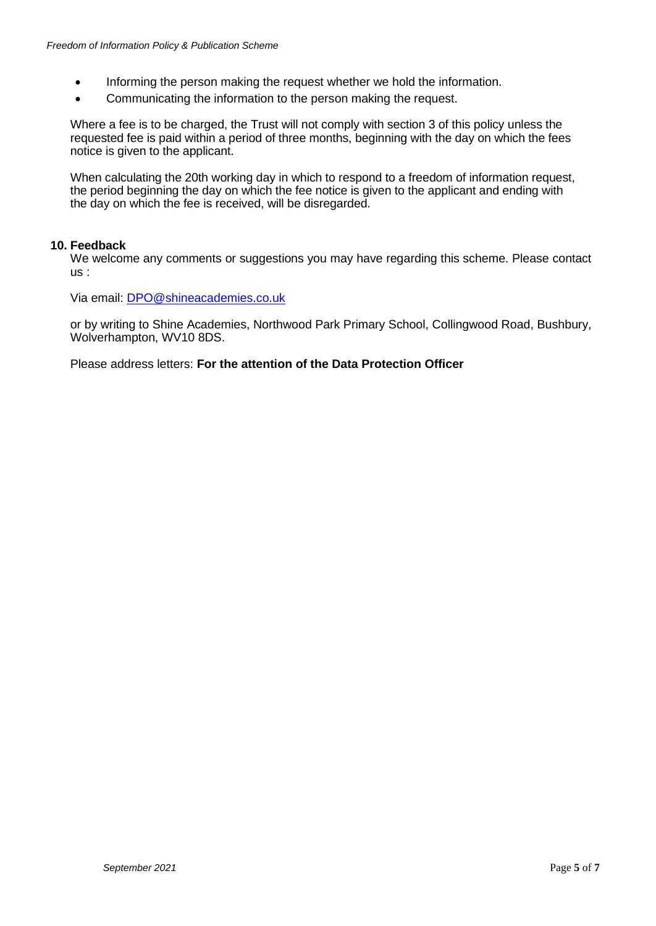- Informing the person making the request whether we hold the information.
- Communicating the information to the person making the request.

Where a fee is to be charged, the Trust will not comply with section 3 of this policy unless the requested fee is paid within a period of three months, beginning with the day on which the fees notice is given to the applicant.

When calculating the 20th working day in which to respond to a freedom of information request, the period beginning the day on which the fee notice is given to the applicant and ending with the day on which the fee is received, will be disregarded.

#### **10. Feedback**

We welcome any comments or suggestions you may have regarding this scheme. Please contact us :

Via email: [DPO@shineacademies.co.uk](mailto:DPO@shineacademies.co.uk)

or by writing to Shine Academies, Northwood Park Primary School, Collingwood Road, Bushbury, Wolverhampton, WV10 8DS.

Please address letters: **For the attention of the Data Protection Officer**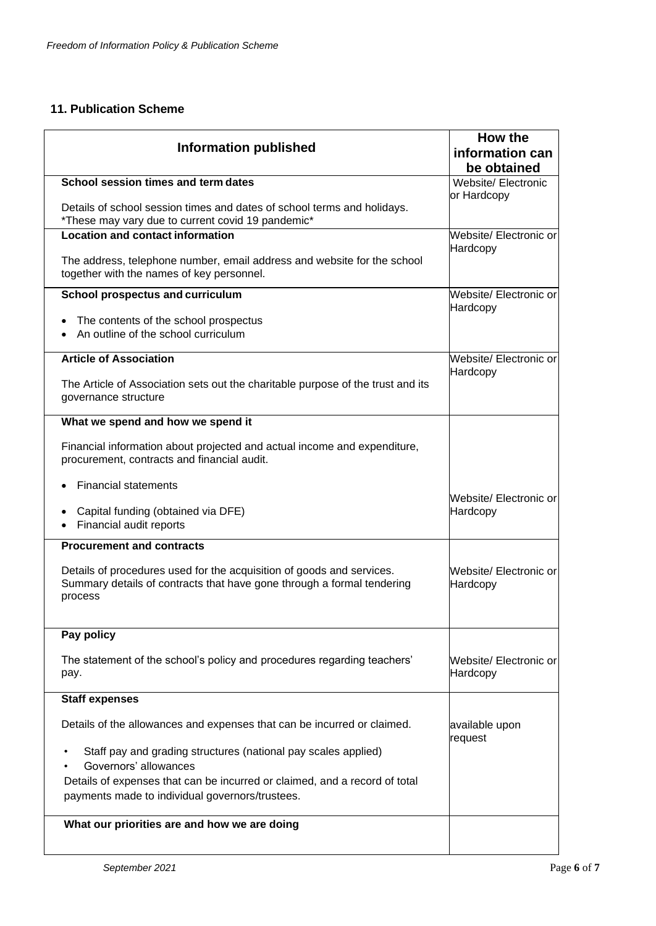# **11. Publication Scheme**

| <b>Information published</b>                                                                                                                               | <b>How the</b><br>information can  |
|------------------------------------------------------------------------------------------------------------------------------------------------------------|------------------------------------|
|                                                                                                                                                            | be obtained                        |
| School session times and term dates                                                                                                                        | Website/ Electronic<br>or Hardcopy |
| Details of school session times and dates of school terms and holidays.<br>*These may vary due to current covid 19 pandemic*                               |                                    |
| <b>Location and contact information</b>                                                                                                                    | Website/ Electronic or             |
| The address, telephone number, email address and website for the school<br>together with the names of key personnel.                                       | Hardcopy                           |
| School prospectus and curriculum                                                                                                                           | Website/ Electronic or<br>Hardcopy |
| The contents of the school prospectus<br>An outline of the school curriculum                                                                               |                                    |
| <b>Article of Association</b>                                                                                                                              | Website/ Electronic or             |
| The Article of Association sets out the charitable purpose of the trust and its<br>governance structure                                                    | Hardcopy                           |
| What we spend and how we spend it                                                                                                                          |                                    |
| Financial information about projected and actual income and expenditure,<br>procurement, contracts and financial audit.                                    |                                    |
| <b>Financial statements</b>                                                                                                                                |                                    |
| Capital funding (obtained via DFE)<br>Financial audit reports                                                                                              | Website/ Electronic or<br>Hardcopy |
| <b>Procurement and contracts</b>                                                                                                                           |                                    |
| Details of procedures used for the acquisition of goods and services.<br>Summary details of contracts that have gone through a formal tendering<br>process | Website/ Electronic or<br>Hardcopy |
| Pay policy                                                                                                                                                 |                                    |
| The statement of the school's policy and procedures regarding teachers'<br>pay.                                                                            | Website/ Electronic or<br>Hardcopy |
| <b>Staff expenses</b>                                                                                                                                      |                                    |
| Details of the allowances and expenses that can be incurred or claimed.                                                                                    | available upon<br>request          |
| Staff pay and grading structures (national pay scales applied)<br>Governors' allowances                                                                    |                                    |
| Details of expenses that can be incurred or claimed, and a record of total<br>payments made to individual governors/trustees.                              |                                    |
| What our priorities are and how we are doing                                                                                                               |                                    |